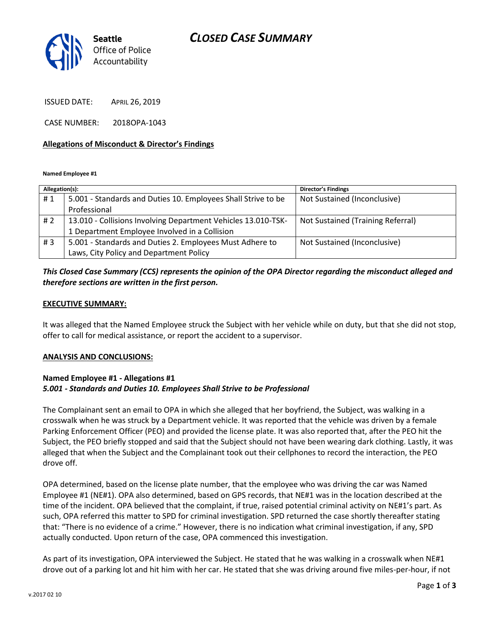# *CLOSED CASE SUMMARY*



ISSUED DATE: APRIL 26, 2019

CASE NUMBER: 2018OPA-1043

### **Allegations of Misconduct & Director's Findings**

**Named Employee #1**

| Allegation(s): |                                                               | <b>Director's Findings</b>        |
|----------------|---------------------------------------------------------------|-----------------------------------|
| #1             | 5.001 - Standards and Duties 10. Employees Shall Strive to be | Not Sustained (Inconclusive)      |
|                | Professional                                                  |                                   |
| # 2            | 13.010 - Collisions Involving Department Vehicles 13.010-TSK- | Not Sustained (Training Referral) |
|                | 1 Department Employee Involved in a Collision                 |                                   |
| #3             | 5.001 - Standards and Duties 2. Employees Must Adhere to      | Not Sustained (Inconclusive)      |
|                | Laws, City Policy and Department Policy                       |                                   |

## *This Closed Case Summary (CCS) represents the opinion of the OPA Director regarding the misconduct alleged and therefore sections are written in the first person.*

#### **EXECUTIVE SUMMARY:**

It was alleged that the Named Employee struck the Subject with her vehicle while on duty, but that she did not stop, offer to call for medical assistance, or report the accident to a supervisor.

### **ANALYSIS AND CONCLUSIONS:**

### **Named Employee #1 - Allegations #1** *5.001 - Standards and Duties 10. Employees Shall Strive to be Professional*

The Complainant sent an email to OPA in which she alleged that her boyfriend, the Subject, was walking in a crosswalk when he was struck by a Department vehicle. It was reported that the vehicle was driven by a female Parking Enforcement Officer (PEO) and provided the license plate. It was also reported that, after the PEO hit the Subject, the PEO briefly stopped and said that the Subject should not have been wearing dark clothing. Lastly, it was alleged that when the Subject and the Complainant took out their cellphones to record the interaction, the PEO drove off.

OPA determined, based on the license plate number, that the employee who was driving the car was Named Employee #1 (NE#1). OPA also determined, based on GPS records, that NE#1 was in the location described at the time of the incident. OPA believed that the complaint, if true, raised potential criminal activity on NE#1's part. As such, OPA referred this matter to SPD for criminal investigation. SPD returned the case shortly thereafter stating that: "There is no evidence of a crime." However, there is no indication what criminal investigation, if any, SPD actually conducted. Upon return of the case, OPA commenced this investigation.

As part of its investigation, OPA interviewed the Subject. He stated that he was walking in a crosswalk when NE#1 drove out of a parking lot and hit him with her car. He stated that she was driving around five miles-per-hour, if not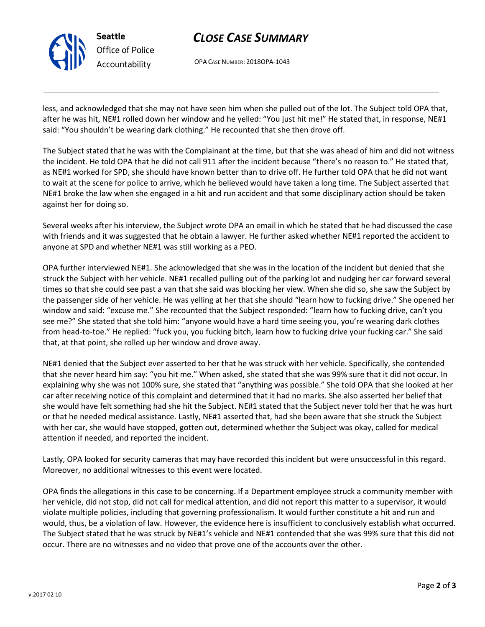

# *CLOSE CASE SUMMARY*

OPA CASE NUMBER: 2018OPA-1043

less, and acknowledged that she may not have seen him when she pulled out of the lot. The Subject told OPA that, after he was hit, NE#1 rolled down her window and he yelled: "You just hit me!" He stated that, in response, NE#1 said: "You shouldn't be wearing dark clothing." He recounted that she then drove off.

The Subject stated that he was with the Complainant at the time, but that she was ahead of him and did not witness the incident. He told OPA that he did not call 911 after the incident because "there's no reason to." He stated that, as NE#1 worked for SPD, she should have known better than to drive off. He further told OPA that he did not want to wait at the scene for police to arrive, which he believed would have taken a long time. The Subject asserted that NE#1 broke the law when she engaged in a hit and run accident and that some disciplinary action should be taken against her for doing so.

Several weeks after his interview, the Subject wrote OPA an email in which he stated that he had discussed the case with friends and it was suggested that he obtain a lawyer. He further asked whether NE#1 reported the accident to anyone at SPD and whether NE#1 was still working as a PEO.

OPA further interviewed NE#1. She acknowledged that she was in the location of the incident but denied that she struck the Subject with her vehicle. NE#1 recalled pulling out of the parking lot and nudging her car forward several times so that she could see past a van that she said was blocking her view. When she did so, she saw the Subject by the passenger side of her vehicle. He was yelling at her that she should "learn how to fucking drive." She opened her window and said: "excuse me." She recounted that the Subject responded: "learn how to fucking drive, can't you see me?" She stated that she told him: "anyone would have a hard time seeing you, you're wearing dark clothes from head-to-toe." He replied: "fuck you, you fucking bitch, learn how to fucking drive your fucking car." She said that, at that point, she rolled up her window and drove away.

NE#1 denied that the Subject ever asserted to her that he was struck with her vehicle. Specifically, she contended that she never heard him say: "you hit me." When asked, she stated that she was 99% sure that it did not occur. In explaining why she was not 100% sure, she stated that "anything was possible." She told OPA that she looked at her car after receiving notice of this complaint and determined that it had no marks. She also asserted her belief that she would have felt something had she hit the Subject. NE#1 stated that the Subject never told her that he was hurt or that he needed medical assistance. Lastly, NE#1 asserted that, had she been aware that she struck the Subject with her car, she would have stopped, gotten out, determined whether the Subject was okay, called for medical attention if needed, and reported the incident.

Lastly, OPA looked for security cameras that may have recorded this incident but were unsuccessful in this regard. Moreover, no additional witnesses to this event were located.

OPA finds the allegations in this case to be concerning. If a Department employee struck a community member with her vehicle, did not stop, did not call for medical attention, and did not report this matter to a supervisor, it would violate multiple policies, including that governing professionalism. It would further constitute a hit and run and would, thus, be a violation of law. However, the evidence here is insufficient to conclusively establish what occurred. The Subject stated that he was struck by NE#1's vehicle and NE#1 contended that she was 99% sure that this did not occur. There are no witnesses and no video that prove one of the accounts over the other.